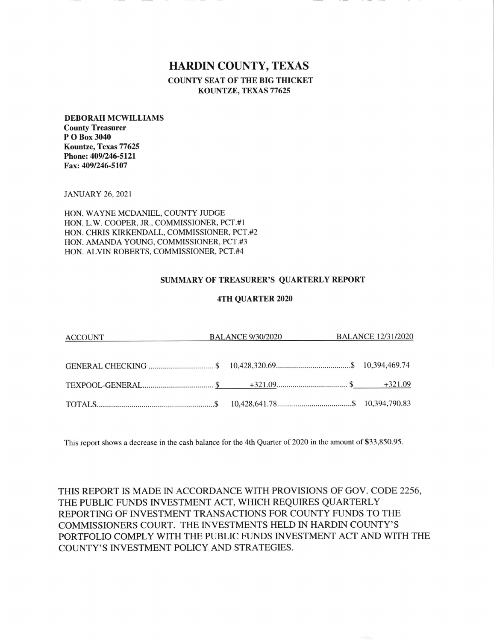# HARDIN COUNTY, TEXAS

COUNTY SEAT OF THE BIG THICKET KOUNTZE, TEXAS 77625

#### DEBORAH MCWILLIAMS

County Treasurer P O Box 3040 Kountze, Texas 77625 Phone: 4091246-5121 Fax;4091246-5107

JANUARY 26,2021

HON. WAYNE MCDANIEL, COUNTY JUDGE HON. L.W. COOPER, JR., COMMISSIONER, PCT.#I HON. CHRIS KIRKENDALL, COMMISSIONER, PCT,#2 HON. AMANDA YOUNG, COMMISSIONER, PCT.#3 HON. ALVIN ROBERTS, COMMISSIONER, PCT.#4

## SUMMARY OF TREASURER'S QUARTERLY REPORT

### 4TH QUARTER 2020

| ACCOUNT | <b>BALANCE 9/30/2020</b> | <b>BALANCE 12/31/2020</b> |
|---------|--------------------------|---------------------------|
|         |                          |                           |
|         |                          |                           |
|         |                          |                           |
|         |                          |                           |

This report shows a decrease in the cash balance for the 4th Quarter of 2020 in the amount of \$33,850.95

THIS REPORT IS MADE IN ACCORDANCE WITH PROVISIONS OF GOV. CODE 2256, THE PUBLIC FUNDS INVESTMENT ACT, WHICH REQUIRES QUARTERLY REPORTING OF INVESTMENT TRANSACTIONS FOR COUNTY FUNDS TO THE COMMISSIONERS COURT. THE INVESTMENTS HELD IN HARDIN COUNTY'S PORTFOLIO COMPLY WITH THE PUBLIC FUNDS INVESTMENT ACT AND WITH THE COUNTY'S INVESTMENT POLICY AND STRATEGIES.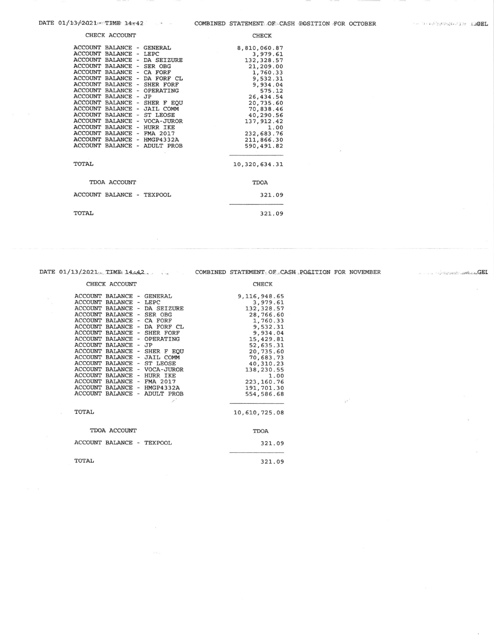| CHECK ACCOUNT |
|---------------|
|               |

| CHECK ACCOUNT                                                                                                                                                                                                                                                                                                                                                                                                                                                                                                                                                                                                                                                                                                                                                                                          | <b>CHECK</b>                                                                                                                                                                                                            |
|--------------------------------------------------------------------------------------------------------------------------------------------------------------------------------------------------------------------------------------------------------------------------------------------------------------------------------------------------------------------------------------------------------------------------------------------------------------------------------------------------------------------------------------------------------------------------------------------------------------------------------------------------------------------------------------------------------------------------------------------------------------------------------------------------------|-------------------------------------------------------------------------------------------------------------------------------------------------------------------------------------------------------------------------|
| ACCOUNT BALANCE - GENERAL<br><b>ACCOUNT</b><br>BALANCE<br>LEPC<br>$\overline{\phantom{a}}$<br>ACCOUNT BALANCE -<br>DA SEIZURE<br><b>ACCOUNT</b><br><b>BALANCE</b><br>SER OBG<br>$\equiv$<br>ACCOUNT BALANCE - CA FORF<br>ACCOUNT BALANCE<br>DA FORF CL<br>$\tilde{\phantom{a}}$<br>ACCOUNT BALANCE - SHER FORF<br>ACCOUNT BALANCE<br>OPERATING<br>$\overline{\phantom{0}}$<br><b>ACCOUNT</b><br><b>BALANCE</b><br>JP<br>$\overline{\phantom{0}}$<br>ACCOUNT BALANCE - SHER F EQU<br>ACCOUNT BALANCE -<br><b>JAIL COMM</b><br>ACCOUNT BALANCE - ST LEOSE<br>ACCOUNT BALANCE<br>- VOCA-JUROR<br>ACCOUNT BALANCE -<br>HURR IKE<br>ACCOUNT BALANCE<br>FMA 2017<br>$\overline{\phantom{a}}$<br>ACCOUNT BALANCE -<br>HMGP4332A<br>ACCOUNT<br><b>BALANCE</b><br><b>ADULT PROB</b><br>$\overline{\phantom{0}}$ | 8,810,060.87<br>3,979.61<br>132, 328.57<br>21,209.00<br>1,760.33<br>9,532.31<br>9,934.04<br>575.12<br>26,434.54<br>20,735.60<br>70,838.46<br>40,290.56<br>137, 912.42<br>1.00<br>232,683.76<br>211,866.30<br>590,491.82 |
| TOTAL                                                                                                                                                                                                                                                                                                                                                                                                                                                                                                                                                                                                                                                                                                                                                                                                  | 10,320,634.31                                                                                                                                                                                                           |
| TDOA ACCOUNT                                                                                                                                                                                                                                                                                                                                                                                                                                                                                                                                                                                                                                                                                                                                                                                           | <b>TDOA</b>                                                                                                                                                                                                             |
| ACCOUNT BALANCE -<br><b>TEXPOOL</b>                                                                                                                                                                                                                                                                                                                                                                                                                                                                                                                                                                                                                                                                                                                                                                    | 321.09                                                                                                                                                                                                                  |
| TOTAL                                                                                                                                                                                                                                                                                                                                                                                                                                                                                                                                                                                                                                                                                                                                                                                                  | 321.09                                                                                                                                                                                                                  |

#### CHECK ACCOUNT

ACCOUNT BALANCE - GENERAL<br>ACCOUNT BALANCE - LEPC<br>ACCOUNT BALANCE - DA SEIZURE 9, 116, 948.65<br>3, 979.61<br>132, 328.57 ACCOUNT BALANCE - DA SEIZURE<br>ACCOUNT BALANCE - SER OBG<br>ACCOUNT BALANCE - CA FORF CL<br>ACCOUNT BALANCE - DA FORF CL<br>ACCOUNT BALANCE - SHER FORF<br>ACCOUNT BALANCE - SHER FORF<br>ACCOUNT BALANCE - SHER F EQU<br>ACCOUNT BALANCE - SHER F  $132, 328.57$ <br>  $28, 766.60$ <br>  $1, 760.33$ <br>  $9, 532.31$ <br>  $9, 934.04$ <br>  $15, 429.81$ <br>  $52, 635.31$ <br>  $20, 735.60$ <br>  $70, 683.73$ <br>  $40.310.23$ 40,310.23 138,230.55  $1.00$   $223,160.76$   $191,701.30$   $554,586.68$ ACCOUNT BALANCE - HMGP4332A<br>ACCOUNT BALANCE - ADULT PROB TOTAL 10,610,725.08 TDOA ACCOUNT **TDOA** ACCOUNT BALANCE - TEXPOOL

**TOTAL** 

DATE 01/13/2021. TIME 14.42. COMBINED STATEMENT OF CASH POSITION FOR NOVEMBER

**CHECK** 

321.09

321.09

CEL Service of the point in the case GEL